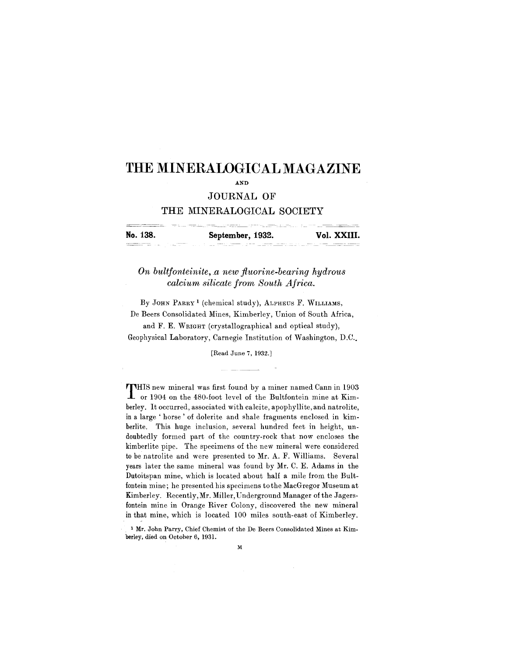# **THE MINERALOGICAL MAGAZINE**

AND

# **JOURNAL OF**

# **THE MINERALOGICAL SOCIETY**

|          | the component of the component of the component of the component of the component of the component of the component of the component of the component of the component of the component of the component of the component of t<br>The commission of the commission of the commission of the commission of the commission of the commission of the commission of the commission of the commission of the commission of the commission of the commission of the co |             |
|----------|------------------------------------------------------------------------------------------------------------------------------------------------------------------------------------------------------------------------------------------------------------------------------------------------------------------------------------------------------------------------------------------------------------------------------------------------------------------|-------------|
| No. 138. | September, 1932.                                                                                                                                                                                                                                                                                                                                                                                                                                                 | Vol. XXIII. |
|          | $ -$<br><b>CONTRACTOR</b><br>----                                                                                                                                                                                                                                                                                                                                                                                                                                |             |

*On bultfonteinite,* n, *new fluorine-bearing hydrous calcium silicate from South Africa.*

By JOHN PARRY<sup>1</sup> (chemical study), ALPHEUS F. WILLIAMS, De Beers Consolidated Mines, Kimberley, Union of South Africa,

and F. E. WRIGHT (crystallographical and optical study), Geophysical Laboratory, Carnegie Institution of Washington, D.C..

[Read June 7, 1932.]

-----

THIS new mineral was first found by a miner named Cann in 190.<br>
I or 1904 on the 480-foot level of the Bultfontein mine at Kim HIS new mineral was first found by a miner named Cann in 1903 berley. It occurred, associated with calcite, apophyllite, and natrolite, in a large' horse' of dolerite and shale fragments enclosed in kimberlite. This huge inclusion, several hundred feet in height, undoubtedly formed part of the country-rock that now encloses the kimberlite pipe. The specimens of the new mineral were considered to be natrolite and were presented to Mr. A. F. Williams. Several years later the same mineral was found by Mr. C. E. Adams in the Dutoitspan mine, which is located about half a mile from the Bultfontein mine; he presented his specimens tothe MacGregor Museum at Kimberley. Recently, Mr. Miller, Underground Manager of the Jagersfontein mine in Orange River Colony, discovered the new mineral in that mine, which is located 100 miles south-east of Kimberley.

 $\lambda$ 

<sup>1</sup> Mr. John Parry, Chief Chemist of the De Beers Consolidated Mines at Kim. berley, died on October 6, 1931.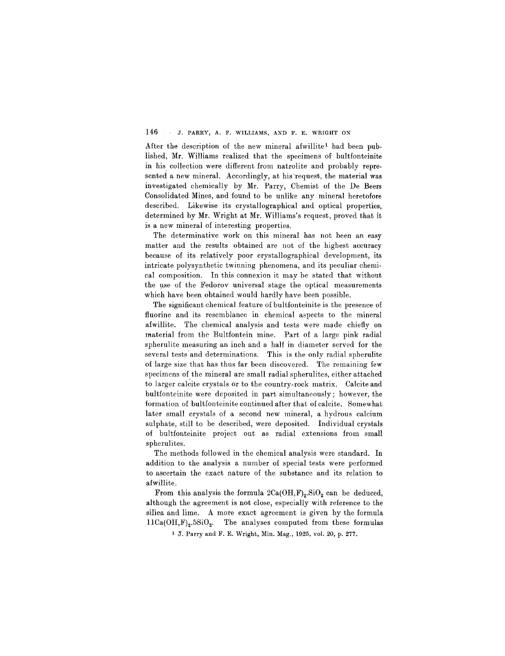After the description of the new mineral afwillite<sup>1</sup> had been published, Mr. Williams realized that the specimens of bultfonteinite in his collection were different from natrolite and probably represented a new mineral. Accordingly, at his'request, the material was investigated chemically by Mr. Parry, Chemist of the De Beers Consolidated Mines, and found to be unlike any mineral heretofore described. Likewise its crystallographical and optical properties, determined by Mr. Wright at Mr. Williams's request, proved that it is a new mineral of interesting properties.

The determinative work on this mineral has not been an easy matter and the results obtained are not of the highest accuracy because of its relatively poor crystallographical development, its intricate polysynthetic twinning phenomena, and its peculiar chemical composition. In this connexion it may be stated that without the use of the Fedorov universal stage the optical measurements which have been obtained would hardly have been possible.

The significant chemical feature of bultfonteinite is the presence of fluorine and its resemblance in chemical aspects to the mineral afwillite. The chemical analysis and tests were made chiefly on material from the Bultfontein mine. Part of a large pink radial spherulite measuring an inch and a half in diameter served for the several tests and determinations. This is the only radial spherulite of large size that has thus far been discovered. The remaining few specimens of the mineral are small radial spherulites, either attached to larger calcite crystals or to the country-rock matrix. Calcite and bultfonteinite were deposited in part simultaneously; however, the formation of bultfonteinite continued after that of calcite. Somewhat later small crystals of a second new mineral, a hydrous calcium sulphate, still to be described, were deposited. Individual crystals of bultfonteinite project out as radial extensions from small spherulites.

The methods followed in the chemical analysis were standard. In addition to the analysis a number of special tests were performed to ascertain the exact nature of the substance and its relation to afwillite.

From this analysis the formula  $2Ca(OH,F)_2.SIO_2$  can be deduced, although the agreement is not close, especially with reference to the silica and lime. A more exact agreement is given by the formula  $11Ca(OH,F)_2.5SiO_2$ . The analyses computed from these formulas

1 J. Parry and F. E. Wright, Min. Mag., 1925, vol. 20, p. 277.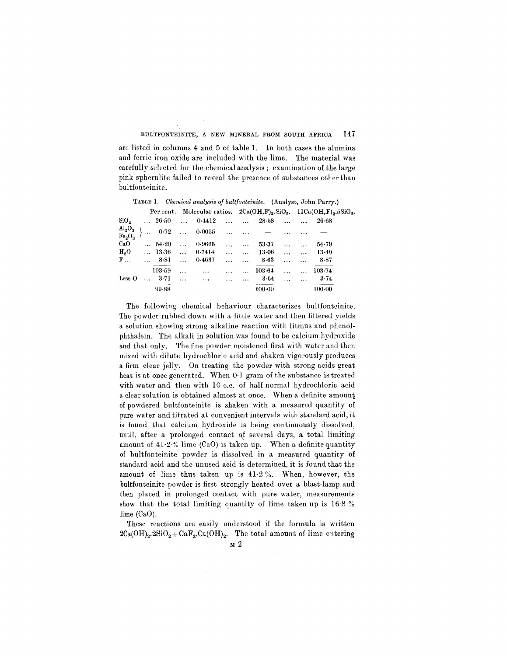are listed in columns 4 and 5 of table 1. In both cases the alumina and ferric iron oxide are included with the lime. The material was carefully selected for the chemical analysis; examination of the large pink spherulite failed to reveal the presence of substances other than bultfonteinite.

|                    |  |                                               |               | <b>TABLE 1.</b> Chemical analysis of outformeratie. (Analyst, John Parry.) |                |                 |            |           |                                            |                                                                                 |  |
|--------------------|--|-----------------------------------------------|---------------|----------------------------------------------------------------------------|----------------|-----------------|------------|-----------|--------------------------------------------|---------------------------------------------------------------------------------|--|
|                    |  |                                               |               |                                                                            |                |                 |            |           |                                            | Per cent. Molecular ratios. $2Ca(OH, F)_2$ . $SiO_2$ . $11Ca(OH, F)_2.5SiO_2$ . |  |
|                    |  |                                               |               | $\text{SiO}_2$ $26.50$ $0.4412$ $28.58$                                    |                |                 |            |           |                                            | $26 - 68$                                                                       |  |
|                    |  |                                               |               | ${\rm Al_2O_3 \atop Fe_2O_3}$ 0.72  0.0055                                 |                | and the control |            | $\cdots$  |                                            |                                                                                 |  |
| CaO                |  | $\ldots$ 54.20                                | $\sim$        | 0.9666                                                                     | $\ddotsc$      | $\ddotsc$       | 53-37      |           | $\mathbf{r}$ . The same state $\mathbf{r}$ | 54.79                                                                           |  |
|                    |  | $H_2O \qquad \dots \qquad 13.36 \qquad \dots$ |               | 0.7414                                                                     | $\ddotsc$      | $\ddotsc$       | 13.06      |           | $\cdots$ $\cdots$                          | $13-40$                                                                         |  |
|                    |  | $F$ $$ 8.81                                   | $\sim$ $\sim$ | 0-4637                                                                     |                | $\sim$          | $8 - 63$   | $\cdots$  | $\ddotsc$                                  | 8.87                                                                            |  |
|                    |  | 103.59                                        | $\ddotsc$     | $\cdots$                                                                   | $\cdots$       |                 | 103.64     | $\ddotsc$ | $\ddotsc$                                  | 103.74                                                                          |  |
| $_{\text{Less }O}$ |  | $\ldots$ 3.71                                 | $\dddotsc$    | $\sim$ 100 $\mu$                                                           | <b>Section</b> |                 | 3.64       |           | $\cdots$ $\cdots$                          | 3.74                                                                            |  |
|                    |  | 99.88                                         |               |                                                                            |                |                 | $100 - 00$ |           |                                            | 100.00                                                                          |  |

TABLE 1. *Chemical analysis of* bultfonteinite. (Analyst, John Parry.)

The following chemical behaviour characterizes bultfonteinite. The powder rubbed down with a little water and then filtered yields a solution showing strong alkaline reaction with litmus and phenolphthalein. The alkali in solution was found to be calcium hydroxide and that only. The fine powder moistened first with water and then mixed with dilute hydrochloric acid and shaken vigorously produces a firm clear jelly. On treating the powder with strong acids great heat is at once generated. When 0.1 gram of the substance is treated with water and then with 10 c.c. of half-normal hydrochloric acid a clear solution is obtained almost at once. When a definite amuunt of powdered bultfonteinite is shaken with a measured quantity of pure water and titrated at convenient intervals with standard acid, it is found that calcium hydroxide is being continuously dissolved, until, after a prolonged contact of several days, a total limiting amount of  $41.2\%$  lime (CaO) is taken up. When a definite quantity of bultfonteinite powder is dissolved in a measured quantity of standard acid and the unused acid is determined, it is found that the amount of lime thus taken up is  $41.2\%$ . When, however, the bultfonteinite powder is first strongly heated over a blast-lamp and then placed in prolonged contact with pure water, measurements show that the total limiting quantity of lime taken up is 16.8 % lime (CaO).

These reactions are easily understood if the formula is written  $2Ca(OH)_2.2SiO_2 + CaF_2 Ca(OH)_2$ . The total amount of lime entering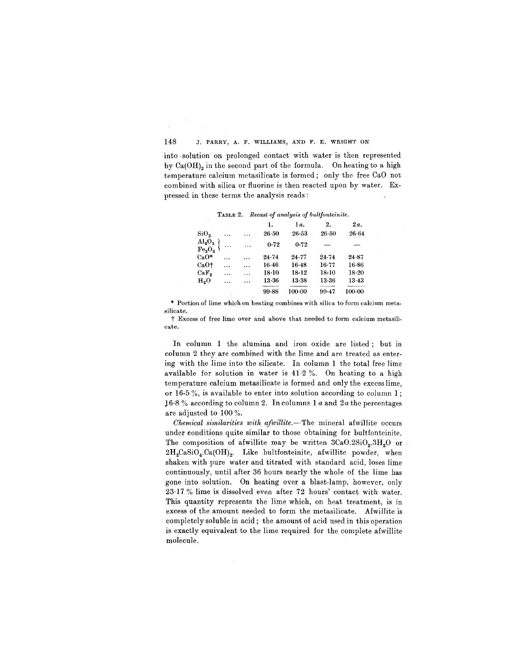into -solution on prolonged contact with water is then represented by  $Ca(OH)$ <sub>2</sub> in the second part of the formula. On heating to a high temperature calcium metasilicate is formed; only the free CaO not combined with silica or fluorine is then reacted upon by water. Expressed in these terms the analysis reads:

TABLE2. *Recast of analysis of baltfonteinite.*

|                                                       |           |           | ı.        | 1α.       | 2.        | 2a.        |
|-------------------------------------------------------|-----------|-----------|-----------|-----------|-----------|------------|
| SiO <sub>2</sub>                                      | $\ddotsc$ | $\cdots$  | $26 - 50$ | $26 - 53$ | $26 - 50$ | $26 - 64$  |
| $\frac{\text{Al}_2\text{O}_3}{\text{Fe}_2\text{O}_3}$ | $\ddotsc$ | $\cdots$  | 0.72      | 0.72      |           |            |
| $CaO*$                                                | $\cdots$  | $\ddotsc$ | $24 - 74$ | 24.77     | 24.74     | 24.87      |
| CaO†                                                  | $\cdots$  |           | 16.46     | $16-48$   | $16-77$   | $16 - 86$  |
| CaF <sub>2</sub>                                      | .         | .         | $18-10$   | $18-12$   | $18-10$   | $18-20$    |
| H <sub>9</sub> O                                      | $\cdots$  | $\cdots$  | 13-36     | $13 - 38$ | 13.36     | 13.43      |
|                                                       |           |           | 99.88     | 100.00    | 99.47     | $100 - 00$ |

۔ ۔<br>silicate Portion of lime which on heating combines with silica to form calcium meta-

t Excess of free lime over and above that needed to form calcium metasili. cate.

In column 1 the alumina and iron oxide are listed; but in column 2 they are combined with the lime and are treated as entering with the lime into the silicate. In column 1 the total free lime available for solution in water is  $41.2$  %. On heating to a high temperature calcium metasilicate is formed and only the excess lime, or 16.5 %, is available to enter into solution according to column 1 ; 16.8 % according to column 2. In columns 1  $a$  and 2 $a$  the percentages are adjusted to 100 %.

*Chemical similarities with afwillite.-The* mineral afwillite occurs under conditions quite similar to those obtaining for bultfonteinite. The composition of afwillite may be written  $3CaO.2SiO<sub>2</sub>.3H<sub>2</sub>O$  or  $2H_2CaSiO_4.Ca(OH)_2$ . Like bultfonteinite, afwillite powder, when shaken with pure water and titrated with standard acid, loses lime continuously, until after 36 hours nearly the whole of the lime has gone into solution. On heating over a blast-lamp, however, only 23.17 % lime is dissolved even after 72 hours' contact with water. This quantity represents the lime which, on heat treatment, is in excess of the amount needed to form the metasilicate. Afwillite is completely soluble in acid; the amount of acid used in this operation is exactly equivalent to the lime required for the complete afwillite molecule.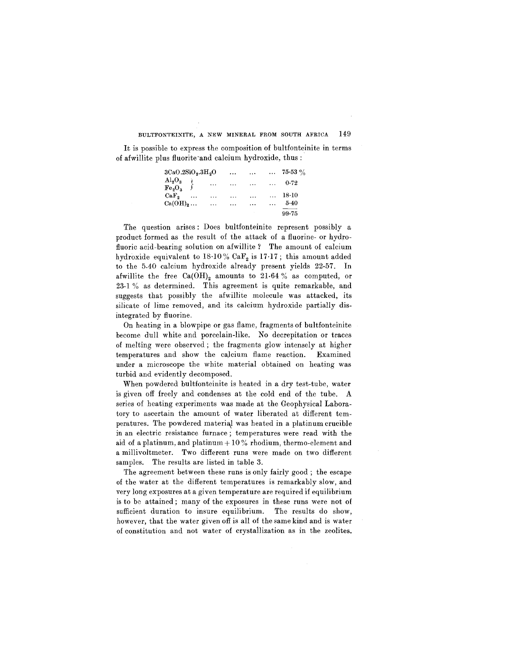It is possible to express the composition of bultfonteinite in terms of afwillite plus fluorite-and calcium hydroxide, thus:

| 3CaO.2SiO <sub>2</sub> .3H <sub>2</sub> O |           |          | $\cdots$ | $\cdots$  |          | $\ldots$ 75.53 % |
|-------------------------------------------|-----------|----------|----------|-----------|----------|------------------|
| $\mathrm{Al_2O_3}\ \mathrm{Fe_2O_3}$      |           | $\cdots$ | $\cdots$ | $\cdots$  | $\cdots$ | 0.72             |
| $CaF_{\bullet}$                           | $\ddotsc$ | $\cdots$ | $\cdots$ | $\ddotsc$ | $\cdots$ | 18·10            |
| Ca(OH) <sub>2</sub>                       |           | $\cdots$ | $\cdots$ | $\cdots$  |          | $5-40$           |
|                                           |           |          |          |           |          | $99 - 75$        |

The question arises: Does bultfonteinite represent possibly a product formed as the result of the attack of a fluorine- or hydrofluoric acid-bearing solution on afwillite? The amount of calcium hydroxide equivalent to  $18.10\%$  Ca $\mathbb{F}_2$  is 17.17; this amount added to the 5.40 calcium hydroxide already present yields 22.57. **In** afwillite the free  $Ca(OH)_2$  amounts to 21.64 % as computed, or 23.1 % as determined. This agreement is quite remarkable, and suggests that possibly the afwillite molecule was attacked, its silicate of lime removed, and its calcium hydroxide partially disintegrated by fluorine.

On heating in a blowpipe or gas flame, fragments of bultfonteinite become dull white and porcelain-like. No decrepitation or traces of melting were observed; the fragments glow intensely at higher temperatures and show the caJcium flame reaction. Examined under a microscope the white material obtained on heating was turbid and evidently decomposed.

When powdered bultfonteinite is heated in a dry test-tube, water is given off freely and condenses at the cold end of the tube. A series of heating experiments was made at the Geophysical Laboratory to ascertain the amount of water liberated at different temperatures. The powdered material was heated in a platinum crucible in an electric resistance furnace; temperatures were read with the aid of a platinum, and platinum  $+10\%$  rhodium, thermo-element and a millivoltmeter. Two different runs were made on two different samples. The results are listed in table 3.

The agreement between these runs is only fairly good; the escape of the water at the different temperatures is remarkably slow, and very long exposures at a given temperature are required if equilibrium is to be attained; many of the exposures in these runs were not of sufficient duration to insure equilibrium. The results do show, however, that the water given off is all of the same kind and is water of constitution and not water of crystallization as in the zeolites.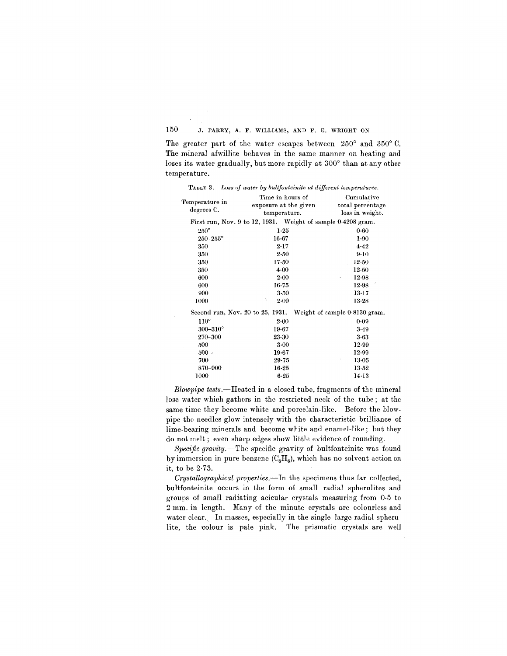The greater part of the water escapes between  $250^{\circ}$  and  $350^{\circ}$  C. The mineral afwillite behaves in the same manner on heating and loses its water gradually, but more rapidly at 300° than at any other temperature.

TABLE 3. *Loss of water by bultfonteinite at different temperatures.*

|                     | Time in hours of      | Cumulative                                                     |  |
|---------------------|-----------------------|----------------------------------------------------------------|--|
| Temperature in      | exposure at the given | total percentage                                               |  |
| degrees C.          | temperature.          | loss in weight.                                                |  |
|                     |                       | First run, Nov. 9 to 12, 1931. Weight of sample 0.4208 gram.   |  |
| $250^\circ$         | $1 - 25$              | $0 - 60$                                                       |  |
| $250 - 255^{\circ}$ | $16 - 67$             | 1.90                                                           |  |
| 350                 | $2-17$                | 4.42                                                           |  |
| 350                 | 2.50                  | 9.10                                                           |  |
| 350                 | $17 - 50$             | $12 - 50$                                                      |  |
| 350                 | 4.00                  | $12-50$                                                        |  |
| 600                 | $2 - 00$              | 12.98                                                          |  |
| 600                 | 16.75                 | $12-98$                                                        |  |
| 900                 | $3 - 50$              | 13.17                                                          |  |
| 1000                | ١<br>$2 - 00$         | $13-28$                                                        |  |
|                     |                       | Second run, Nov. 20 to 25, 1931. Weight of sample 0.8130 gram. |  |
| $110^\circ$         | $2 - 00$              | 0.09                                                           |  |
| $300 - 310^{\circ}$ | 19.67                 | 3.49                                                           |  |
| 270-300             | $23 - 30$             | 3.63                                                           |  |
| 500                 | $3 - 00$              | 12.99                                                          |  |
| 500                 | $19 - 67$             | 12.99                                                          |  |
| 700                 | 29.75                 | $13 - 05$                                                      |  |
| 870-900             | $16 - 25$             | $13-52$                                                        |  |
| 1000                | $6 - 25$              | $14-13$                                                        |  |

*Blowpipe tests.-Heated* in a closed tube, fragments of the mineral lose water which gathers in the restricted neck of the tube; at the same time they become white and porcelain-like. Before the blowpipe the needles glow intensely with the characteristic brilliance of lime-bearing minerals and become white and enamel-like; but they do not melt; even sharp edges show little evidence of rounding.

Specific gravity.-The specific gravity of bultfonteinite was found by immersion in pure benzene  $(C_6H_6)$ , which has no solvent action on it, to be 2.73.

*Crystallographical properties.-In* the specimens thus far collected, bultfonteinite occurs in the form of small radial spherulites and groups of small radiating acicular crystals measuring from 0.5 to 2 mm. in length. Many of the minute crystals are colourless and water-clear., **In** masses, especially in the single large radial spherulite, the colour is pale pink. The prismatic crystals are well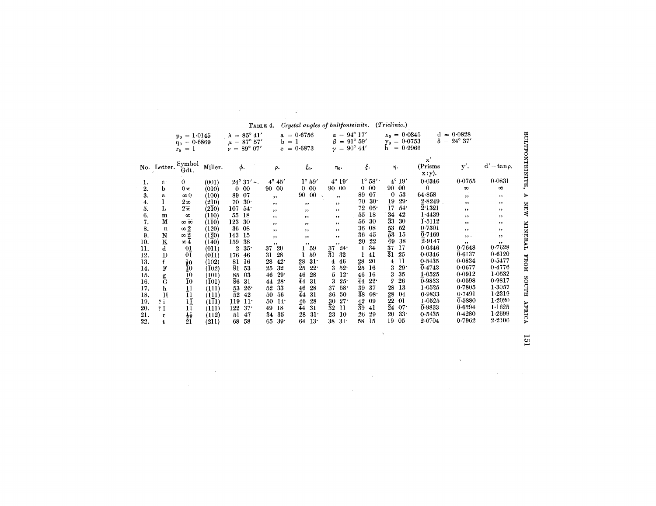|     |             | $= 1.0145$<br>$p_0$                |                               | $\lambda = 85^{\circ} 41'$                       | $a =$<br>$b = 1$      | 0.6756                 | $a =$<br>$= 91^{\circ} 59'$<br>ß   | $94^{\circ} 17'$      | $x_0 = 0.0345$<br>$= 0.0753$       | d<br>δ<br>$=$            | $= 0.0828$<br>$24^{\circ} 37'$ |                   |                 |
|-----|-------------|------------------------------------|-------------------------------|--------------------------------------------------|-----------------------|------------------------|------------------------------------|-----------------------|------------------------------------|--------------------------|--------------------------------|-------------------|-----------------|
|     |             | $= 0.6869$<br>9о                   |                               | $\mu = 87^{\circ} 57'$<br>$\nu = 89^{\circ} 07'$ |                       | $c = 0.6873$           | $y = 90^{\circ} 44'$               |                       | Уo.<br>$= 0.9966$<br>h             |                          |                                |                   |                 |
|     |             | $\,=\,$<br>$r_{0}$                 |                               |                                                  |                       |                        |                                    |                       |                                    |                          |                                |                   |                 |
|     | No. Letter. | Symbol                             | Miller.                       | φ.                                               | ρ.                    | ξο.                    | $\eta_0$ .                         | ξ.                    | η.                                 | $\mathbf{x}'$<br>(Prisms | y'.                            | $d' = \tan \rho.$ | BULTFONTEINITE, |
|     |             | Gdt.                               |                               |                                                  |                       |                        |                                    |                       |                                    | $x: y$ .                 |                                |                   |                 |
| 1.  | Ċ.          | 0                                  | (001)                         | $24^{\circ} 37'$ $-$                             | $4^\circ$<br>45'      | $1^\circ 59'$          | $4^\circ$<br>19'                   | $1^\circ 58'$         | $4^\circ 19'$                      | 0.0346                   | 0.0755                         | 0.0831            |                 |
| 2.  | b           | $0\infty$                          | (010)                         | $_{00}$<br>$\Omega$                              | $_{00}$<br>90         | $\Omega$<br>0          | 90 00                              | 00<br>$\Omega$        | $\bf{00}$<br>90                    | $\theta$                 | $\infty$                       | $\infty$          |                 |
| 3.  | a           | $\infty 0$                         | (100)                         | 07<br>89                                         | ,,                    | $00\,$<br>90           | ,,                                 | 89<br>07              | 53<br>$\Omega$                     | 64.858                   | , ,                            | ,,                | ⋗               |
| 4.  |             | $2\infty$                          | (210)                         | 30 <sup>o</sup><br>70                            | ,,                    | $, \,$                 | $, \cdot$                          | 30 <sup>°</sup><br>70 | 19<br>$29 -$                       | 2.8249                   | , ,                            | , ,               |                 |
| 5.  | L           | $2\overline{\infty}$               | (210)                         | 54.<br>107                                       | ,,                    | ,,                     | ,,                                 | 72<br>$05^{\circ}$    | $\overline{1}7$<br>54 <sup>°</sup> | $\overline{2}$ 1321      | , ,                            | , ,               | <b>MEM</b>      |
| 6.  | m           | $\infty$                           | (110)                         | 18<br>55                                         | ,,                    | ,,                     | , ,                                | 55<br>18              | 34<br>42                           | 1.4439                   | $, \,$                         | ,,                |                 |
| 7.  | M           | ∞ ळ                                | (110)                         | 123<br>30                                        | , ,                   | ,,                     | ,,                                 | 30<br>56              | $\bar{3}3$<br>30                   | 1.5112                   | ,,                             | ,,                |                 |
| 8.  | n           | $\infty$ $2$                       | (120)                         | 08<br>36                                         | ,,                    | , ,                    | ,,                                 | 36<br>08              | 53<br>52                           | 0.7301                   | , ,                            | ,,                | TVHENIN         |
| 9.  | N           | $\infty$ $2$                       | (120)                         | 143<br>15                                        | ,,                    | ,,                     | , ,                                | 45<br>36              | $\overline{5}3$<br>15              | 0.7469                   | ,                              | $, \,$            |                 |
| 10. | ĸ           | $\infty$ 4                         | (140)                         | 38<br>159                                        | ,,                    | , ,                    | , ,                                | 22<br>20              | $\overline{6}9$<br>38              | $\overline{2}$ 9147      | , ,                            | ,,                |                 |
| 11. | d           | 01                                 | (011)                         | 35 <sup>o</sup><br>2                             | 20<br>37              | 59                     | 24.<br>37                          | 34<br>1               | 37<br>17                           | 0.0346                   | 0.7648                         | 0.7628            |                 |
| 12. | D           | οī                                 | $(0\overline{1}1)$            | 176<br>46                                        | 28<br>31              | 59                     | $\overline{3}1$<br>32              | 41                    | $\overline{3}1$<br>25              | 0.0346                   | 0.6137                         | 0.6120            |                 |
| 13. | f           | $\frac{1}{2}0$                     | (102)                         | 81<br>16                                         | 42 <sup>°</sup><br>28 | 31 <sup>°</sup><br>28  | 46<br>4                            | 20<br>28              | $_{11}$<br>4                       | 0.5435                   | 0.0834                         | 0.5477            | <b>NOXI</b>     |
| 14. | F           |                                    | (102)                         | 81<br>53                                         | 32<br>25              | $\overline{2}5$<br>22. | $52^{\circ}$                       | $\bar{2}5$<br>16      | 29.<br>3                           | $\overline{0}$ 4743      | 0.0677                         | 0.4776            |                 |
| 15. | g<br>G      | Ī0                                 | (101)                         | 03<br>85                                         | $29 -$<br>46          | 46<br>28               | $12^{\circ}$<br>5                  | 46<br>16              | 35<br>3                            | 1.0525                   | 0.0912                         | 1.0532            |                 |
| 16. |             | $\tilde{\bar{10}}$                 | $(\overline{1}01)$            | $\bar{8}6$<br>31                                 | 28 <sup>°</sup><br>44 | $\bar{4}4$<br>31       | 3<br>25 <sup>o</sup>               | 44<br>22.             | 26<br>$\mathfrak{p}$               | 0.9833                   | 0.0598                         | 0.9817            |                 |
| 17. | h           |                                    | (111)                         | 26 <sup>°</sup><br>53                            | 33<br>52              | 28<br>46               | 37<br>58 <sup>°</sup>              | 37<br>39              | 13<br>28                           | 1.0525                   | 0.7805                         | 1.3057            | HTUOS           |
| 18. | $\bf H$     | $\frac{11}{11}$<br>$\frac{11}{11}$ | (111)                         | $\overline{5}2$<br>42                            | 56<br>50              | 44<br>31               | 50<br>36                           | $\bar{3}8$<br>$08 -$  | 28<br>04                           | $\overline{0}$ -9833     | 0.7491                         | 1.2319            |                 |
| 19. | ? i         |                                    | $(1\overline 1 1)$            | 119<br>11 <sup>o</sup>                           | $14^{\circ}$<br>50    | 28<br>46               | $\overline{3}0$<br>27 <sup>°</sup> | 42<br>09              | $\overline{2}2$<br>01              | 1.0525                   | 0.5880                         | 1.2020            |                 |
| 20. | 21          |                                    | $(\overline{1}\overline{1}1)$ | $\bar{1}22$<br>37 <sup>°</sup>                   | 18<br>49              | 44<br>31               | $\overline{3}2$<br>11              | 39<br>41              | $\overline{2}4$<br>$07^{\circ}$    | $\overline{0}$ -9833     | 0.6294                         | 1.1625            | <b>AFRICA</b>   |
| 21. | r           | $\frac{1}{2}$                      | (112)                         | 47<br>51                                         | 35<br>34              | 31 <sup>1</sup><br>28  | 23<br>10                           | 29<br>26              | $33 -$<br>20                       | 0.5435                   | 0.4280                         | 1.2699            |                 |
| 22. | t           | 21                                 | (211)                         | 58<br>68                                         | $39 -$<br>65          | 13 <sup>°</sup><br>64  | 31 <sup>2</sup><br>38              | 15<br>58              | 19<br>05                           | 2.0704                   | 0.7962                         | 2.2106            |                 |

 $\bar{A}$ 

 $\bar{a}$ 

TABLE 4. Crystal angles of bultfonteinite. (Triclinic.)

 $\sim 10^6$ 

 $\sim 100$ 

 $\sim$ 

 $\overline{131}$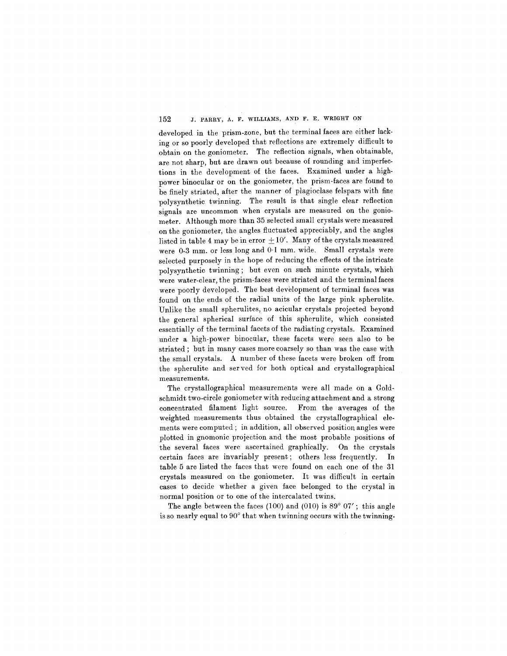developed in the prism-zone, but the terminal faces are either lacking or so poorly developed that reflections are extremely difficult to obtain on the goniometer. The reflection signals, when obtainable, are not sharp, but are drawn out because of rounding and imperfections in the development of the faces. Examined under a highpower binocular or on the goniometer, the prism-faces are found to be finely striated, after the manner of plagioclase felspars with fine polysynthetic twinning. The result is that single clear reflection signals are uncommon when crystals are measured on the goniometer. Although more than 35 selected small crystals were measured on the goniometer, the angles fluctuated appreciably, and the angles listed in table 4 may be in error  $\pm 10'$ . Many of the crystals measured were 0.3 mm. or less long and 0.1 mm. wide. Small crystals were selected purposely in the hope of reducing the effects of the intricate polysynthetic twinning; but even on such minute crystals, which were water-clear, the prism-faces were striated and the terminal faces were poorly developed. The best development of terminal faces was found on the ends of the radial units of the large pink spherulite. Unlike the small spherulites, no acicular crystals projected beyond the general spherical surface of this spherulite, which consisted essentially of the terminal facets of the radiating crystals. Examined under a high-power binocular, these facets were seen also to be striated; but in many cases more coarsely so than was the case with the small crystals. A number of these facets were broken off from the spherulite and ser ved for both optical and crystallographical measurements.

The crystallographical measurements were all made on a Goldschmidt two-circle goniometer with reducing attachment and a strong concentrated filament light source. From the averages of the weighted measurements thus obtained the crystallographical elements were computed; in addition, all observed position angles were plotted in gnomonic projection and the most probable positions of the several faces were ascertained graphically. On the crystals certain faces are invariably present; others less frequently. In table 5 are listed the faces that were found on each one of the 31 crystals measured on the goniometer. It was difficult in certain cases to decide whether a given face belonged to the crystal in normal position or to one of the intercalated twins.

The angle between the faces (100) and (010) is  $89^{\circ}$  07'; this angle is so nearly equal to 90° that when twinning occurs with the twinning-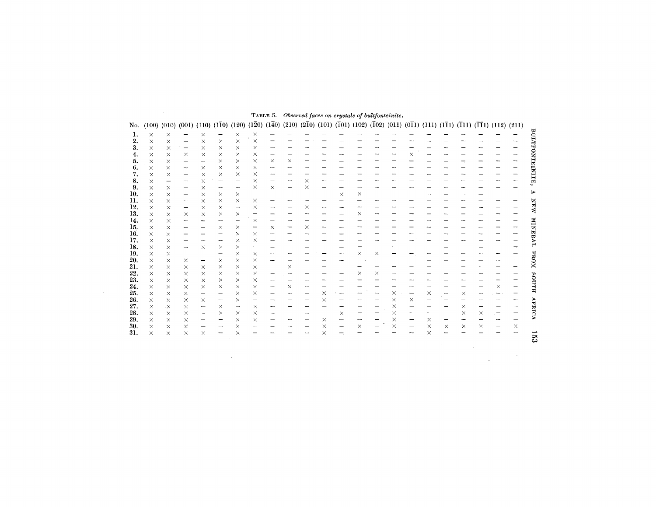| ı.         | ×                    | ×             | -             | ×                                                           | $\qquad \qquad -$                    |                         | ×        |          |          |          |          |          |          |          |                      |          |          |          |          |   |          |          |
|------------|----------------------|---------------|---------------|-------------------------------------------------------------|--------------------------------------|-------------------------|----------|----------|----------|----------|----------|----------|----------|----------|----------------------|----------|----------|----------|----------|---|----------|----------|
| 2.         | $\times$             | ×             | -             | $\times$                                                    | $\times$                             | $\frac{\times}{\times}$ | $\times$ |          |          |          |          |          |          |          |                      |          |          |          |          |   |          |          |
| 3.         | $\times$             | $\times$      | -             | $\times$                                                    | $\times$                             | $\times$                | $\times$ |          |          |          |          |          |          |          |                      |          |          |          |          |   |          |          |
| 4.         | $\times$             | $\times$      | $\times$      | $\times$                                                    | $\times$                             | $\times$                | $\times$ |          |          |          |          |          |          |          |                      | ×        |          |          |          |   |          | —        |
| 5.         | $\times$             | $\times$      | -             | --                                                          | $\times$                             | $\times$                | ×        | $\times$ | $\times$ |          |          |          |          |          |                      |          |          |          |          |   |          | --       |
| 6.         | $\times$             | $\times$      | ⊸             | $\times$                                                    | $\times$                             | $\times$                | $\times$ |          |          |          |          |          |          |          |                      |          |          |          |          |   |          |          |
| 7.         | $\times$             | $\times$      | —             | $\times$                                                    | $\times$                             | $\times$                | $\times$ |          |          |          |          |          |          |          |                      |          |          |          |          |   |          |          |
| 8.         | $\times$             | —             | --            | ×                                                           | $\overline{\phantom{m}}$             | -                       | ×        |          |          | $\times$ |          |          |          |          |                      |          |          |          |          |   |          |          |
| 9.         | $\times$             | $\times$      |               | $\times$                                                    | $\overline{\phantom{m}}$             | --                      | $\times$ | ×        |          | $\times$ |          |          |          |          |                      |          |          |          |          |   |          |          |
| 10.        | $\times$             | $\times$      | —             | $\times$                                                    | $\times$                             | $\times$                | -        |          |          |          |          | ×        | $\times$ |          |                      |          |          |          |          |   |          |          |
| 11.        | $\times$             | $\times$      | --            | $\times$                                                    | $\times$                             | $\times$                | $\times$ |          |          |          |          |          |          |          |                      |          |          |          |          |   |          |          |
| 12.        | $\times$             | $\times$      |               | $\times$                                                    | $\times$                             | ⊸                       | ×        |          |          | $\times$ |          |          |          |          |                      |          |          |          |          |   |          |          |
| 13.        | $\times$             | ×             | $\times$      | $\times$                                                    | $\times$                             | $\times$                |          |          |          |          |          |          | $\times$ |          |                      |          |          |          |          |   |          |          |
| 14.        | $\times$             | $\times$      |               | -                                                           |                                      |                         | ×        |          |          |          |          |          |          |          |                      |          |          |          |          |   |          |          |
| 15,        | $\times$             | $\times$      |               |                                                             | $\times$                             | ×                       |          | ×        |          | $\times$ |          |          |          |          |                      |          |          |          |          |   |          |          |
| 16.        | $\times$             | $\times$      |               | --                                                          |                                      | $\times$                | $\times$ |          |          |          |          |          |          |          |                      |          |          |          |          |   |          |          |
| 17.        | $\times$             | $\times$      |               | ---                                                         | $\hspace{0.05cm}$                    | ×                       | $\times$ |          |          |          |          |          |          |          |                      |          |          |          |          |   |          |          |
| 18.        | $\times$             | ×             | $\sim$        | $\times$                                                    | $\times$                             | $\times$                | --       |          |          |          |          |          |          |          |                      |          |          |          |          |   |          |          |
| 19.        | $\times$             | $\times$      |               | —                                                           |                                      | $\times$                | $\times$ |          |          |          |          |          | ×        | $\times$ |                      |          |          |          |          |   |          |          |
| 20.        | $\times$             | $\times$      | $\times$      | $\qquad \qquad -$                                           | ×                                    | $\times$                | ×        |          |          |          |          |          |          |          |                      |          |          |          |          |   |          |          |
| 21.        | $\times$             | ×             | $\times$      | $\times$                                                    | $\times$                             | $\times$                | $\times$ |          | ×        |          |          |          |          |          |                      |          |          |          |          |   |          |          |
| 22.        | $\times$             | $\times$      | $\times$      | $\times$                                                    | $\times$                             | $\times$                | $\times$ |          |          |          |          |          | $\times$ | $\times$ |                      |          |          |          |          |   |          |          |
| 23.        | $\times$             | $\times$      | $\times$      | $\times$                                                    | $\times$                             | $\times$                | $\times$ |          |          |          |          |          |          |          |                      |          |          |          |          |   |          |          |
| 24.        | $\times$             | $\times$      | $\times$      | $\times$                                                    | $\times$                             | $\times$                | $\times$ |          | ×        |          |          |          |          |          |                      |          |          |          |          |   | $\times$ |          |
| 25.        | $\times$             | $\times$      | $\times$      | -                                                           |                                      | $\times$                | $\times$ |          |          |          | ×        |          |          | $\sim$   | $\times$<br>$\times$ | -        | ×        |          | $\times$ |   |          |          |
| 26.<br>27. | $\times$<br>$\times$ | ×             | $\times$      | $\times$                                                    | $\overline{\phantom{m}}$<br>$\times$ | $\times$<br>-           | ×        |          |          |          | ×        |          |          |          | $\times$             | $\times$ |          |          | ×        |   |          |          |
| 28.        | $\times$             | $\times$<br>× | ×<br>$\times$ | $\overline{\phantom{m}}$<br>$\overbrace{\phantom{1232211}}$ | $\times$                             | $\times$                | X        |          |          |          |          | $\times$ |          |          | $\times$             |          |          |          | $\times$ | × |          |          |
| 29.        | $\times$             | $\times$      | $\times$      |                                                             |                                      | $\times$                | $\times$ |          |          |          | ×        |          |          |          | $\times$             |          | ×        |          |          |   |          |          |
| 30.        | $\times$             | X             | ×             | -<br>$\qquad \qquad \  \  \, -$                             |                                      | ×                       |          |          |          |          | ×        |          | $\times$ |          | $\times$             |          | $\times$ | $\times$ | $\times$ | × |          | $\times$ |
|            | $\times$             | ×             | $\times$      | $\times$                                                    |                                      | $\times$                |          |          |          |          | $\times$ |          |          |          |                      |          | $\times$ |          |          |   |          |          |
| 31.        |                      |               |               |                                                             |                                      |                         |          |          |          |          |          |          |          |          |                      |          |          |          |          |   |          |          |

# TABLE 5. Observed faces on crystals of bultfonteinite.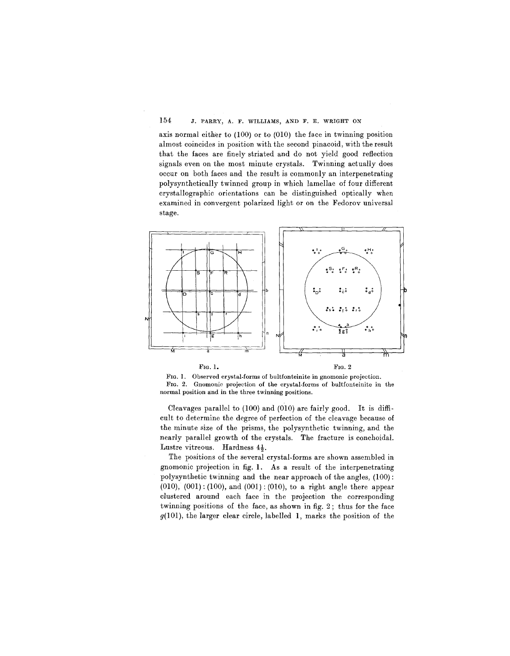axis normal either to (100) or to (010) the face in twinning position almost coincides in position with the second pinacoid, with the result that the faces are finely striated and do not yield good reflection signals even on the most minute crystals. Twinning actually does occur on both faces and the result is commonly an interpenetrating polysynthetically twinned group in which lamellae of four different crystallographic orientations can be distinguished optically when examined in convergent polarized light or on the Fedorov universal stage.



FIG. l. Observed crystal-forms of bultfonteinite in gnomonic projection. FIG. 2. Gnomonic projection of the crystal-forms of bultfonteinite in the normal position and in the three twinning positions.

Cleavages parallel to (100) and (010) are fairly good. It is difficult to determine the degree of perfection of the cleavage because of the minute size of the prisms, the polysynthetic twinning, and the nearly parallel growth of the crystals. The fracture is conchoidal. Lustre vitreous. Hardness  $4\frac{1}{2}$ .

The positions of the several crystal-forms are shown assembled in gnomonic projection in fig. 1. As a result of the interpenetrating polysynthetic twinning and the near approach of the angles, (100) :  $(010)$ ,  $(001)$ :  $(100)$ , and  $(001)$ :  $(010)$ , to a right angle there appear clustered around each face in the projection the corresponding twinning positions of the face, as shown in fig. 2; thus for the face g(IOI), the larger clear circle, labelled **1,** marks the position of the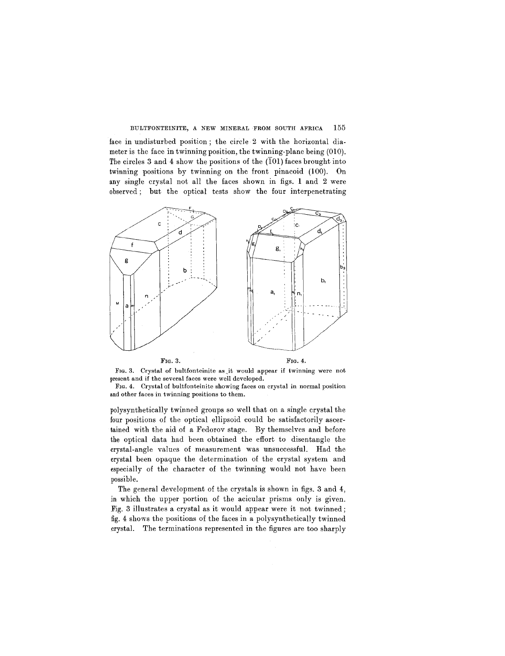face in undisturbed position; the circle 2 with the horizontal diameter is the face in twinning position, the twinning- plane being (010). The circles 3 and 4 show the positions of the  $(\overline{1}01)$  faces brought into twinning positions by twinning on the front pinacoid (100). On any single crystal not all the faces shown in figs. 1 and 2 were observed; but the optical tests show the four interpenetrating



FIG. 3. Crystal of bultfonteinite as it would appear if twinning were not present and if the several faces were well developed.

FIG. 4. Crystal of bultfonteinite showing faces on crystal in normal position and other faces in twinning positions to them.

polysynthetically twinned groups so well that on a single crystal the four positions of the optical ellipsoid could be satisfactorily ascertained with the aid of a Fedorov stage. By themselves and before the optical data had been obtained the effort to disentangle the crystal-angle values of measurement was unsuccessful. Had the crystal been opaque the determination of the crystal system and especially of the character of the twinning would not have been possible.

The general development of the crystals is shown in figs. 3 and 4, in which the upper portion of the acicular prisms only is given. Fig. 3 illustrates a crystal as it would appear were it not twinned; fig. 4 shows the positions of the faces in a polysynthetically twinned crystal. The terminations represented in the figures are too sharply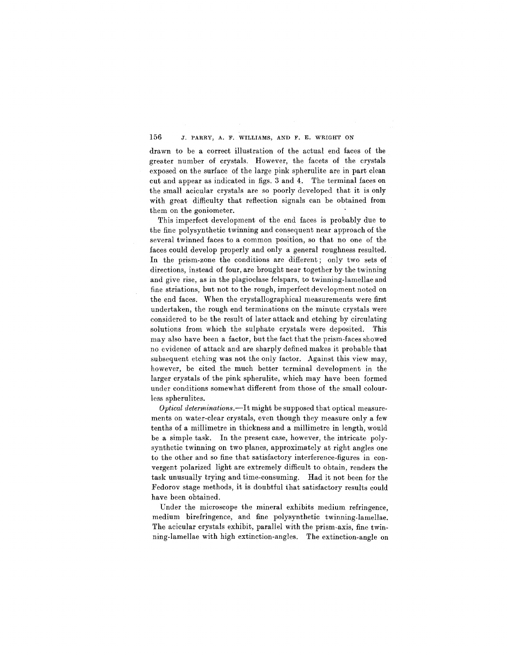drawn to be a correct illustration of the actual end faces of the greater number of crystals. However, the facets of the crystals exposed on the surface of the large pink spherulite are in part clean cut and appear as indicated in figs. 3 and 4. The terminal faces on the small acicular crystals are so poorly developed that it is only with great difficulty that reflection signals can be obtained from them on the goniometer.

This imperfect development of the end faces is probably due to the fine polysynthetic twinning and consequent near approach of the several twinned faces to a common position, so that no one of the faces could develop properly and only a general roughness resulted. In the prism-zone the conditions are different; only two sets of directions, instead of four, are brought near together by the twinning and give rise, as in the plagioclase felspars, to twinning-lamellae and fine striations, but not to the rough, imperfect development noted on the end faces. When the crystallographical measurements were first undertaken, the rough end terminations on the minute crystals were considered to be the result of later attack and etching by circulating solutions from which the sulphate crystals were deposited. This may also have been a factor, but the fact that the prism-faces showed no evidence of attack and are sharply defined makes it probable that subsequent etching was not the only factor. Against this view may, however, be cited the much better terminal development in the larger crystals of the pink spherulite, which may have been formed under conditions somewhat different from those of the small colourless spherulites.

*Optical determinations.-It* might be supposed that optical measurements on water-clear crystals, even though they measure only a few tenths of a millimetre in thickness and a millimetre in length, would be a simple task. In the present case, however, the intricate polysynthetic twinning on two planes, approximately at right angles one to the other and so fine that satisfactory interference-figures in convergent polarized light are extremely difficult to obtain, renders the task unusually trying and time-consuming. Had it not been for the Fedorov stage methods, it is doubtful that satisfactory results could have been obtained.

Under the microscope the mineral exhibits medium refringence, medium birefringence, and fine polysynthetic twinning-lamellae. The acicular crystals exhibit, parallel with the prism-axis, fine twinning-lamellae with high extinction-angles. The extinction-angle on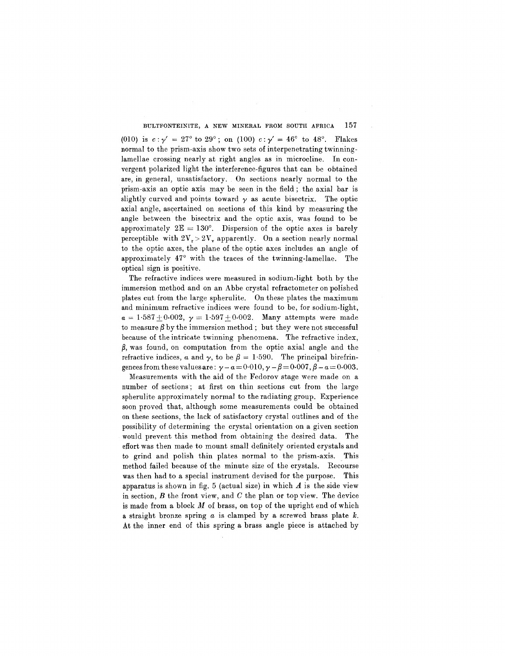(010) is  $c:\gamma' = 27^{\circ}$  to  $29^{\circ}$ ; on (100)  $c:\gamma' = 46^{\circ}$  to  $48^{\circ}$ . Flakes normal to the prism-axis show two sets of interpenetrating twinninglamellae crossing nearly at right angles as in microcline. In convergent polarized light the interference-figures that can be obtained are, in general, unsatisfactory. On sections nearly normal to the prism-axis an optic axis may be seen in the field; the axial bar is slightly curved and points toward  $\gamma$  as acute bisectrix. The optic axial angle, ascertained on sections of this kind by measuring the angle between the bisectrix and the optic axis, was found to be approximately  $2E = 130^{\circ}$ . Dispersion of the optic axes is barely perceptible with  $2V_r > 2V_v$  apparently. On a section nearly normal to the optic axes, the plane of the optic axes includes an angle of approximately 47° with the traces of the twinning-lamellae. The optical sign is positive.

The refractive indices were measured in sodium-light both by the immersion method and on an Abbe crystal refractometer on polished plates cut from the large spherulite. On these plates the maximum and minimum refractive indices were found to be, for sodium-light,  $a = 1.587 \pm 0.002, \; \gamma = 1.597 \pm 0.002.$  Many attempts were made to measure  $\beta$  by the immersion method; but they were not successful because of the intricate twinning phenomena. The refractive index,  $\beta$ , was found, on computation from the optic axial angle and the refractive indices,  $\alpha$  and  $\gamma$ , to be  $\beta = 1.590$ . The principal birefringences from these values are:  $\gamma - a = 0.010$ ,  $\gamma - \beta = 0.007$ ,  $\beta - a = 0.003$ .

Measurements with the aid of the Fedorov stage were made on a number of sections; at first on thin sections cut from the large spherulite approximately normal to the radiating group. Experience soon proved that, although some measurements could be obtained on these sections, the lack of satisfactory crystal outlines and of the possibility of determining the crystal orientation on a given section would prevent this method from obtaining the desired data. The effort was then made to mount small definitely oriented crystals and to grind and polish thin plates normal to the prism-axis. This method failed because of the minute size of the crystals. Recourse was then had to a special instrument devised for the purpose. This apparatus is shown in fig. 5 (actual size) in which *A* is the side view in section, *B* the front view, and C the plan or top view. The device is made from a block *M* of brass, on top of the upright end of which a straight bronze spring *a* is clamped by a screwed brass plate *k.* At the inner end of this spring a brass angle piece is attached by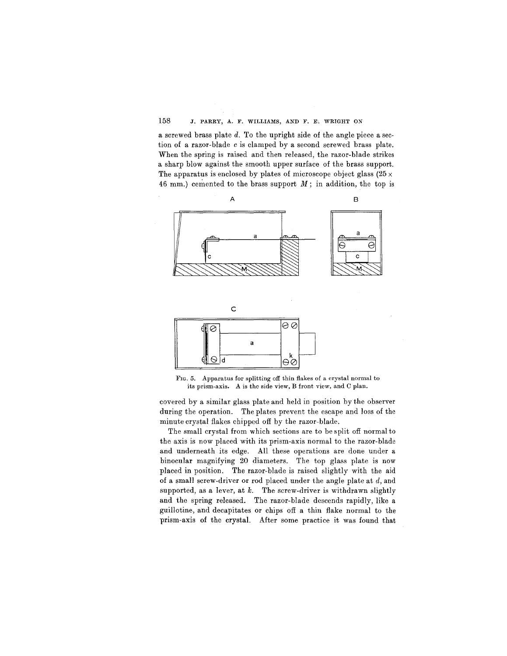a screwed brass plate *d.* To the upright side of the angle piece a section of a razor-blade *c* is clamped by a second screwed brass plate. When the spring is raised and then released, the razor-blade strikes a sharp blow against the smooth upper surface of the brass support. The apparatus is enclosed by plates of microscope object glass  $(25 \times$ 46 mm.) cemented to the brass support *M;* in addition, the top is



FIG. 5. Apparatus for splitting off thin flakes of a crystal normal to its prism. axis. A is the side view, B front view, and C plan.

covered by a similar glass plate and held in position by the observer during the operation. The plates prevent the escape and loss of the minute crystal flakes chipped off by the razor-blade.

The small crystal from which sections are to be split off normal to the axis is now placed with its prism-axis normal to the razor-blade and underneath its edge. All these operations are done under a binocular magnifying 20 diameters. The top glass plate is now placed in position. The razor-blade is raised slightly with the aid of a small screw-driver or rod placed under the angle plate at *d,* and supported, as a lever, at *k.* The screw-driver is withdrawn slightly and the spring released. The razor-blade descends rapidly, like a guillotine, and decapitates or chips off a thin flake normal to the prism-axis of the crystal. After some practice it was found that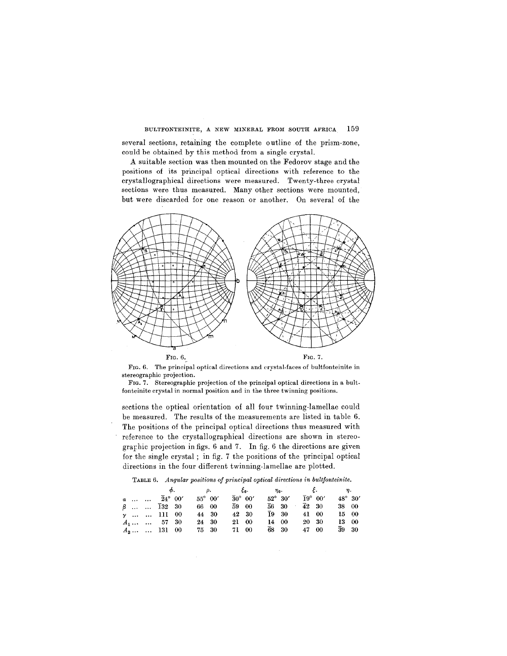several sections, retaining the complete outline of the prism-zone, could be obtained by this method from a single crystal.

A suitable section was then mounted on the Fedorov stage and the positions of its principal optical directions with reference to the crystallographical directions were measured. Twenty-three crystal sections were thus measured. Many other sections were mounted, but were discarded for one reason or another. On several of the





FIG. 7. Stereographic projection of the principal optical directions in a bult. fonteinite crystal in normal position and in the three twinning positions.

sections the optical orientation of all four twinning-lamellae could be measured. The results of the measurements are listed in table 6. The positions of the principal optical directions thus measured with reference to the crystallographical directions are shown in stereograrhic projection in figs. 6 and 7. In fig. 6 the directions are given for the single crystal; in fig. 7 the positions of the principal optical directions in the four different twinning-lamellae are plotted.

TABLE6. *Angular positions of principal optical directions in bultfonteinite.*

|  |  | $\phi$ , $\rho$ , $\xi_0$ , $\eta_0$ , $\xi$ , $\eta$ , |                             |                                       |                                                                |                                            |  |
|--|--|---------------------------------------------------------|-----------------------------|---------------------------------------|----------------------------------------------------------------|--------------------------------------------|--|
|  |  | $a$ $\overline{2}4^{\circ}00'$ 55° 00'                  | $\overline{3}0^{\circ}$ 00' |                                       | $52^{\circ}$ 30' $\bar{1}9^{\circ}$ 00'                        | $48^\circ$ 30'                             |  |
|  |  | $\beta$ 132 30 66 00                                    |                             | $\overline{59}$ 00 $\overline{56}$ 30 |                                                                | $\overline{4}2 \quad 30 \quad 38 \quad 00$ |  |
|  |  | $\gamma$ 111 00 44 30                                   |                             |                                       | $42\quad 30$ $\overline{1}9\quad 30$ $41\quad 00$ $15\quad 00$ |                                            |  |
|  |  | $A_1$ $B_7$ 30 24 30 21 00 14 00 20 30 13 00            |                             |                                       |                                                                |                                            |  |
|  |  | $A_2   131 00 75 30 71 00 68 30 47 00 39 30$            |                             |                                       |                                                                |                                            |  |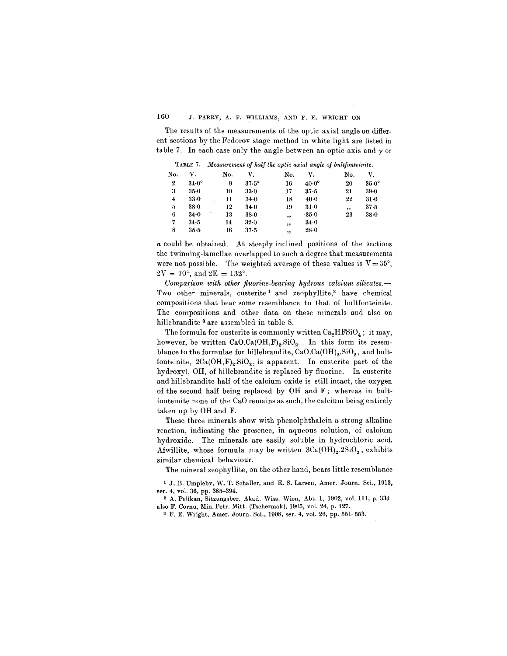The results of the measurements of the optic axial angle on different sections by the Fedorov stage method in white light are listed in table 7. In each case only the angle between an optic axis and  $\gamma$  or

| TABLE 7. Measurement of half the optic axial angle of bultfonteinite. |  |  |  |  |  |
|-----------------------------------------------------------------------|--|--|--|--|--|
|-----------------------------------------------------------------------|--|--|--|--|--|

| No. | v.           | No. | v.           | No.    | v.           | No. | V.             |
|-----|--------------|-----|--------------|--------|--------------|-----|----------------|
| 2   | $34.0^\circ$ | 9   | $37.5^\circ$ | 16     | $40.0^\circ$ | 20  | $35.0^{\circ}$ |
| 3   | $35 - 0$     | 10  | 33.0         | 17     | $37 - 5$     | 21  | 39-0           |
| 4   | 33.0         | 11  | $34 - 0$     | 18     | 40.0         | 22  | $31-0$         |
| 5   | $38 - 0$     | 12  | 34.0         | 19     | 31.0         | ,,  | 37.5           |
| 6   | $34 - 0$     | 13  | $38 - 0$     | ,      | $-35.0$      | 23  | $38 - 0$       |
| 7   | 34.5         | 14  | 32.0         | $, \,$ | 34.0         |     |                |
| 8   | $35-5$       | 16  | $37 - 5$     | ,,     | $28 - 0$     |     |                |
|     |              |     |              |        |              |     |                |

*a* could be obtained. At steeply inclined positions of the sections the twinning-lamellae overlapped to such a degree that measurements were not possible. The weighted average of these values is  $V = 35^{\circ}$ ,  $2\text{V}\,=\,70^\circ,$  and  $2\text{E}\,=\,132^\circ$ 

*Comparison with other fluorine-bearing hydrous calcium silicates.-* Two other minerals, custerite<sup>1</sup> and zeophyllite,<sup>2</sup> have chemical compositions that bear some resemblance to that of bultfonteinite. The compositions and other data on these minerals and also on hillebrandite 3 are assembled in table 8.

The formula for custerite is commonly written  $Ca<sub>2</sub>HFSiO<sub>4</sub>$ ; it may, however, be written  $CaO.Ca(OH,F)<sub>2</sub>.SiO<sub>2</sub>$ . In this form its resemblance to the formulae for hillebrandite,  $CaO.Ca(OH)<sub>2</sub>.SiO<sub>2</sub>$ , and bultfonteinite,  $2Ca(OH, F)_2$ . SiO<sub>2</sub>, is apparent. In custerite part of the hydroxyl, OH, of hillebrandite is replaced by fluorine. In custerite and hillebrandite half of the calcium oxide is still intact, the oxygen of the second half being replaced by OH and F; whereas in bultfonteinite none of the CaO remains as such, the calcium being entirely taken up by OH and F.

These three minerals show with phenolphthalein a strong alkaline reaction, indicating the presence, in aqueous solution, of calcium hydroxide. The minerals are easily soluble in hydrochloric acid. Afwillite, whose formula may be written  $3Ca(OH)_2.2SiO_2$ , exhibits similar chemical behaviour.

The mineral zeophyllite, on the other hand, bears little resemblance

<sup>1</sup> J. B. Umpleby, W. T. Schaller, and E. S. Larsen, Amer. Journ. Sci., 1913, ser. 4, vol. 36, pp. 385-394.

2 A. Pelikan, Sitzungsber. Akad. Wiss. Wien, Abt. 1, 1902, vol. 111, p. 334 also F. Cornu, Min. Petr. Mitt. (Tschermak), 1905, vol. 24, p. 127.

3 F. E. Wright, Amer. Journ. Sci., 1908, ser. 4, vol. 26, pp. 551-553.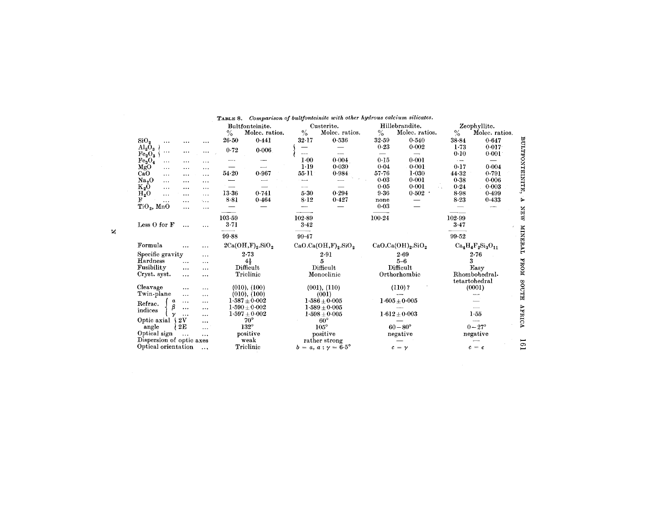|                                                                    |                                           | TABLE 8. Comparison of bultfonteinite with other hydrous calcium silicates. |                                                                       |                                                     |
|--------------------------------------------------------------------|-------------------------------------------|-----------------------------------------------------------------------------|-----------------------------------------------------------------------|-----------------------------------------------------|
|                                                                    | Bultfonteinite.<br>$\%$<br>Molec. ratios. | Custerite.<br>$\frac{0}{0}$<br>Molec. ratios.                               | Hillebrandite.<br>$\%$<br>Molec. ratios.                              | Zeophyllite.<br>$\%$<br>Molec. ratios.              |
| SiO <sub>2</sub><br>.<br>$\cdots$<br>$\cdots$                      | 0.441<br>$26 - 50$                        | 0.536<br>$32 - 17$                                                          | 0.540<br>32.59                                                        | 0.647<br>$38 - 84$                                  |
| $Al_2O_3$<br>$\cdots$<br><br>$\cdots$<br>$\text{Fe}_2\text{O}_3$   | 0.72<br>0.006                             | ---                                                                         | 0.23<br>0.002<br>$\overline{\phantom{0}}$<br>$\overline{\phantom{0}}$ | BULTFONTEINITE,<br>$1-73$<br>0.017<br>0.10<br>0.001 |
| Fe <sub>3</sub> O <sub>4</sub><br>$\cdots$<br>$\cdots$<br>$\cdots$ | — .                                       | 0.004<br>$1 - 00$                                                           | 0.15<br>0.001                                                         | $\cdot -$<br>$\overline{\phantom{0}}$               |
| MgO<br>$\cdots$<br>$\cdots$<br>$\cdots$                            |                                           | 1.19<br>0.030                                                               | 0.001<br>0.04                                                         | 0.17<br>0.004                                       |
| CaO<br>$\cdots$<br>$\cdots$<br>$\ddotsc$                           | 54.20<br>0.967                            | $55 - 11$<br>0.984                                                          | $57 - 76$<br>$1 - 030$                                                | 44.32<br>0.791                                      |
| Na <sub>2</sub> O<br>$\cdots$<br>$\cdots$<br>$\cdots$              |                                           |                                                                             | 0.03<br>0.001                                                         | 0.38<br>0.006                                       |
| $K_2O$<br>$\cdots$<br>$\cdots$<br>$\ddotsc$                        |                                           |                                                                             | 0.001<br>0.05                                                         | 0.003<br>0.24                                       |
| $H_2O$<br>$\cdots$<br>$\cdots$<br>$\cdots$                         | $13-36$<br>0.741                          | 0.294<br>5.30                                                               | 9.36<br>0.502                                                         | 8-98<br>0.499                                       |
| F<br>$\mathbf{L}$<br>.<br>$\cdots$                                 | 0.464<br>$8 - 81$                         | $8 - 12$<br>0.427                                                           | none                                                                  | 8.23<br>0.433                                       |
| $TiO2$ , MnO<br><br>$\cdots$                                       |                                           |                                                                             | 0.03                                                                  | --                                                  |
| Less $O$ for $F$<br>$\cdots$<br>$\ddotsc$                          | 103.59<br>3.71<br>99.88                   | $102 - 89$<br>3.42<br>99.47                                                 | 100.24                                                                | 102-99<br>3.47<br>99.52                             |
|                                                                    |                                           |                                                                             |                                                                       |                                                     |
| Formula<br>$\cdots$<br>                                            | $2Ca(OH,F)_{2}.SiO_{2}$                   | $CaO.Ca(OH,F)2.SiO2$                                                        | $CaO.Ca(OH)2.SiO2$                                                    | $Ca_4H_4F_2Si_3O_{11}$                              |
| Specific gravity<br>$\cdots$                                       | 2.73                                      | 2.91                                                                        | $2 - 69$                                                              | 2.76                                                |
| Hardness<br>$\cdots$<br>$\cdots$                                   | $4\frac{1}{2}$                            | 5                                                                           | $5-6$                                                                 | 3                                                   |
| Fusibility<br>$\cdots$<br>$\cdots$                                 | Difficult                                 | Difficult                                                                   | Difficult                                                             | Easy                                                |
| Cryst. syst.<br>$\cdots$<br>$\cdots$                               | Triclinic                                 | Monoclinic                                                                  | Orthorhombic                                                          | Rhombohedral-<br>tetartohedral                      |
| Cleavage<br>$\cdots$<br>$\ddotsc$                                  | (010), (100)                              | (001), (110)                                                                | (110) ?                                                               | (0001)                                              |
| Twin-plane<br>$\cdots$<br>$\cdots$                                 | (010), (100)                              | (001)                                                                       |                                                                       |                                                     |
| $\alpha$<br>$\cdots$<br>$\cdots$<br>Refrac.                        | $1.587 \pm 0.002$                         | $1.586 + 0.005$                                                             | $1.605 \pm 0.005$                                                     |                                                     |
| β<br>$\cdots$<br>$\cdots$<br>indices                               | $1.590\pm0.002$                           | $1.589 + 0.005$                                                             |                                                                       |                                                     |
| $\mathbf v$<br>$\ddotsc$<br>$\cdots$                               | $1.597 \pm 0.002$                         | $1.598 \pm 0.005$                                                           | $1.612 \pm 0.003$                                                     | 1.55                                                |
| 2V<br>Optic axial {<br>                                            | $70^{\circ}$                              | $60^{\circ}$                                                                |                                                                       |                                                     |
| 2E<br>angle<br>$\cdots$                                            | $132^\circ$                               | $105^\circ$                                                                 | $60 - 80^{\circ}$                                                     | $0 - 27^{\circ}$                                    |
| Optical sign<br>$\cdots$<br>$\cdots$                               | positive                                  | positive                                                                    | negative                                                              | $\operatorname{negative}$                           |
| Dispersion of optic axes                                           | weak                                      | rather strong                                                               |                                                                       |                                                     |
| Optical orientation<br>$\ldots$                                    | Triclinic                                 | $b = a, a : \gamma = 6.5^{\circ}$                                           | $c = \gamma$                                                          | $c = \epsilon$                                      |

 $\mathbf{z}$